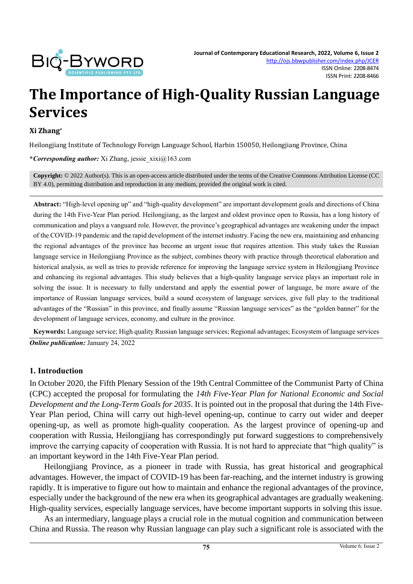

# **The Importance of High-Quality Russian Language Services**

#### **Xi Zhang\***

Heilongjiang Institute of Technology Foreign Language School, Harbin 150050, Heilongjiang Province, China

**\****Corresponding author:* Xi Zhang, jessie\_xixi@163.com

**Copyright:** © 2022 Author(s). This is an open-access article distributed under the terms of th[e Creative Commons Attribution License \(CC](https://creativecommons.org/licenses/by/4.0/)  [BY 4.0\),](https://creativecommons.org/licenses/by/4.0/) permitting distribution and reproduction in any medium, provided the original work is cited.

**Abstract:** "High-level opening up" and "high-quality development" are important development goals and directions of China during the 14th Five-Year Plan period. Heilongjiang, as the largest and oldest province open to Russia, has a long history of communication and plays a vanguard role. However, the province's geographical advantages are weakening under the impact of the COVID-19 pandemic and the rapid development of the internet industry. Facing the new era, maintaining and enhancing the regional advantages of the province has become an urgent issue that requires attention. This study takes the Russian language service in Heilongjiang Province as the subject, combines theory with practice through theoretical elaboration and historical analysis, as well as tries to provide reference for improving the language service system in Heilongjiang Province and enhancing its regional advantages. This study believes that a high-quality language service plays an important role in solving the issue. It is necessary to fully understand and apply the essential power of language, be more aware of the importance of Russian language services, build a sound ecosystem of language services, give full play to the traditional advantages of the "Russian" in this province, and finally assume "Russian language services" as the "golden banner" for the development of language services, economy, and culture in the province.

**Keywords:** Language service; High quality Russian language services; Regional advantages; Ecosystem of language services *Online publication:* January 24, 2022

### **1. Introduction**

In October 2020, the Fifth Plenary Session of the 19th Central Committee of the Communist Party of China (CPC) accepted the proposal for formulating the *14th Five-Year Plan for National Economic and Social Development and the Long-Term Goals for 2035*. It is pointed out in the proposal that during the 14th Five-Year Plan period, China will carry out high-level opening-up, continue to carry out wider and deeper opening-up, as well as promote high-quality cooperation. As the largest province of opening-up and cooperation with Russia, Heilongjiang has correspondingly put forward suggestions to comprehensively improve the carrying capacity of cooperation with Russia. It is not hard to appreciate that "high quality" is an important keyword in the 14th Five-Year Plan period.

Heilongjiang Province, as a pioneer in trade with Russia, has great historical and geographical advantages. However, the impact of COVID-19 has been far-reaching, and the internet industry is growing rapidly. It is imperative to figure out how to maintain and enhance the regional advantages of the province, especially under the background of the new era when its geographical advantages are gradually weakening. High-quality services, especially language services, have become important supports in solving this issue.

As an intermediary, language plays a crucial role in the mutual cognition and communication between China and Russia. The reason why Russian language can play such a significant role is associated with the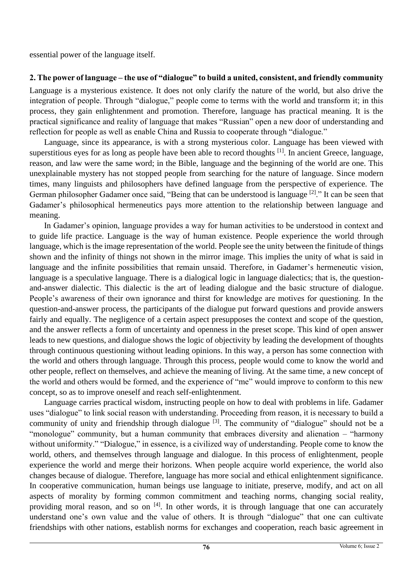essential power of the language itself.

# **2. The power of language – the use of "dialogue" to build a united, consistent, and friendly community**

Language is a mysterious existence. It does not only clarify the nature of the world, but also drive the integration of people. Through "dialogue," people come to terms with the world and transform it; in this process, they gain enlightenment and promotion. Therefore, language has practical meaning. It is the practical significance and reality of language that makes "Russian" open a new door of understanding and reflection for people as well as enable China and Russia to cooperate through "dialogue."

Language, since its appearance, is with a strong mysterious color. Language has been viewed with superstitious eyes for as long as people have been able to record thoughts <sup>[1]</sup>. In ancient Greece, language, reason, and law were the same word; in the Bible, language and the beginning of the world are one. This unexplainable mystery has not stopped people from searching for the nature of language. Since modern times, many linguists and philosophers have defined language from the perspective of experience. The German philosopher Gadamer once said, "Being that can be understood is language <sup>[2]</sup>." It can be seen that Gadamer's philosophical hermeneutics pays more attention to the relationship between language and meaning.

In Gadamer's opinion, language provides a way for human activities to be understood in context and to guide life practice. Language is the way of human existence. People experience the world through language, which is the image representation of the world. People see the unity between the finitude of things shown and the infinity of things not shown in the mirror image. This implies the unity of what is said in language and the infinite possibilities that remain unsaid. Therefore, in Gadamer's hermeneutic vision, language is a speculative language. There is a dialogical logic in language dialectics; that is, the questionand-answer dialectic. This dialectic is the art of leading dialogue and the basic structure of dialogue. People's awareness of their own ignorance and thirst for knowledge are motives for questioning. In the question-and-answer process, the participants of the dialogue put forward questions and provide answers fairly and equally. The negligence of a certain aspect presupposes the context and scope of the question, and the answer reflects a form of uncertainty and openness in the preset scope. This kind of open answer leads to new questions, and dialogue shows the logic of objectivity by leading the development of thoughts through continuous questioning without leading opinions. In this way, a person has some connection with the world and others through language. Through this process, people would come to know the world and other people, reflect on themselves, and achieve the meaning of living. At the same time, a new concept of the world and others would be formed, and the experience of "me" would improve to conform to this new concept, so as to improve oneself and reach self-enlightenment.

Language carries practical wisdom, instructing people on how to deal with problems in life. Gadamer uses "dialogue" to link social reason with understanding. Proceeding from reason, it is necessary to build a community of unity and friendship through dialogue  $[3]$ . The community of "dialogue" should not be a "monologue" community, but a human community that embraces diversity and alienation – "harmony without uniformity." "Dialogue," in essence, is a civilized way of understanding. People come to know the world, others, and themselves through language and dialogue. In this process of enlightenment, people experience the world and merge their horizons. When people acquire world experience, the world also changes because of dialogue. Therefore, language has more social and ethical enlightenment significance. In cooperative communication, human beings use language to initiate, preserve, modify, and act on all aspects of morality by forming common commitment and teaching norms, changing social reality, providing moral reason, and so on  $[4]$ . In other words, it is through language that one can accurately understand one's own value and the value of others. It is through "dialogue" that one can cultivate friendships with other nations, establish norms for exchanges and cooperation, reach basic agreement in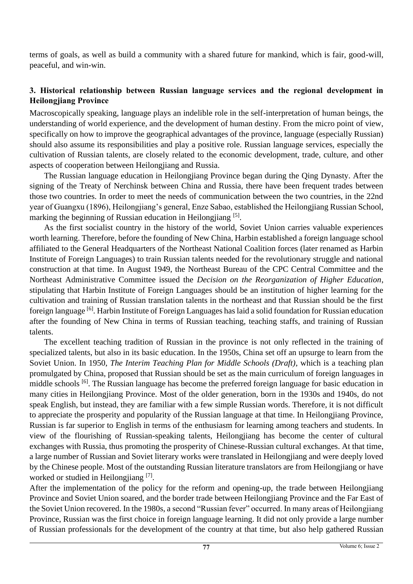terms of goals, as well as build a community with a shared future for mankind, which is fair, good-will, peaceful, and win-win.

# **3. Historical relationship between Russian language services and the regional development in Heilongjiang Province**

Macroscopically speaking, language plays an indelible role in the self-interpretation of human beings, the understanding of world experience, and the development of human destiny. From the micro point of view, specifically on how to improve the geographical advantages of the province, language (especially Russian) should also assume its responsibilities and play a positive role. Russian language services, especially the cultivation of Russian talents, are closely related to the economic development, trade, culture, and other aspects of cooperation between Heilongjiang and Russia.

The Russian language education in Heilongjiang Province began during the Qing Dynasty. After the signing of the Treaty of Nerchinsk between China and Russia, there have been frequent trades between those two countries. In order to meet the needs of communication between the two countries, in the 22nd year of Guangxu (1896), Heilongjiang's general, Enze Sabao, established the Heilongjiang Russian School, marking the beginning of Russian education in Heilongjiang<sup>[5]</sup>.

As the first socialist country in the history of the world, Soviet Union carries valuable experiences worth learning. Therefore, before the founding of New China, Harbin established a foreign language school affiliated to the General Headquarters of the Northeast National Coalition forces (later renamed as Harbin Institute of Foreign Languages) to train Russian talents needed for the revolutionary struggle and national construction at that time. In August 1949, the Northeast Bureau of the CPC Central Committee and the Northeast Administrative Committee issued the *Decision on the Reorganization of Higher Education*, stipulating that Harbin Institute of Foreign Languages should be an institution of higher learning for the cultivation and training of Russian translation talents in the northeast and that Russian should be the first foreign language [6]. Harbin Institute of Foreign Languages has laid a solid foundation for Russian education after the founding of New China in terms of Russian teaching, teaching staffs, and training of Russian talents.

The excellent teaching tradition of Russian in the province is not only reflected in the training of specialized talents, but also in its basic education. In the 1950s, China set off an upsurge to learn from the Soviet Union. In 1950, *The Interim Teaching Plan for Middle Schools (Draft)*, which is a teaching plan promulgated by China, proposed that Russian should be set as the main curriculum of foreign languages in middle schools <sup>[6]</sup>. The Russian language has become the preferred foreign language for basic education in many cities in Heilongjiang Province. Most of the older generation, born in the 1930s and 1940s, do not speak English, but instead, they are familiar with a few simple Russian words. Therefore, it is not difficult to appreciate the prosperity and popularity of the Russian language at that time. In Heilongjiang Province, Russian is far superior to English in terms of the enthusiasm for learning among teachers and students. In view of the flourishing of Russian-speaking talents, Heilongjiang has become the center of cultural exchanges with Russia, thus promoting the prosperity of Chinese-Russian cultural exchanges. At that time, a large number of Russian and Soviet literary works were translated in Heilongjiang and were deeply loved by the Chinese people. Most of the outstanding Russian literature translators are from Heilongjiang or have worked or studied in Heilongjiang [7].

After the implementation of the policy for the reform and opening-up, the trade between Heilongjiang Province and Soviet Union soared, and the border trade between Heilongjiang Province and the Far East of the Soviet Union recovered. In the 1980s, a second "Russian fever" occurred. In many areas of Heilongjiang Province, Russian was the first choice in foreign language learning. It did not only provide a large number of Russian professionals for the development of the country at that time, but also help gathered Russian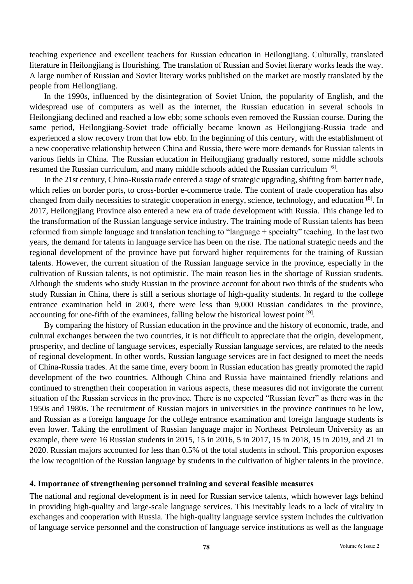teaching experience and excellent teachers for Russian education in Heilongjiang. Culturally, translated literature in Heilongjiang is flourishing. The translation of Russian and Soviet literary works leads the way. A large number of Russian and Soviet literary works published on the market are mostly translated by the people from Heilongjiang.

In the 1990s, influenced by the disintegration of Soviet Union, the popularity of English, and the widespread use of computers as well as the internet, the Russian education in several schools in Heilongjiang declined and reached a low ebb; some schools even removed the Russian course. During the same period, Heilongjiang-Soviet trade officially became known as Heilongjiang-Russia trade and experienced a slow recovery from that low ebb. In the beginning of this century, with the establishment of a new cooperative relationship between China and Russia, there were more demands for Russian talents in various fields in China. The Russian education in Heilongjiang gradually restored, some middle schools resumed the Russian curriculum, and many middle schools added the Russian curriculum [6].

In the 21st century, China-Russia trade entered a stage of strategic upgrading, shifting from barter trade, which relies on border ports, to cross-border e-commerce trade. The content of trade cooperation has also changed from daily necessities to strategic cooperation in energy, science, technology, and education <sup>[8]</sup>. In 2017, Heilongjiang Province also entered a new era of trade development with Russia. This change led to the transformation of the Russian language service industry. The training mode of Russian talents has been reformed from simple language and translation teaching to "language + specialty" teaching. In the last two years, the demand for talents in language service has been on the rise. The national strategic needs and the regional development of the province have put forward higher requirements for the training of Russian talents. However, the current situation of the Russian language service in the province, especially in the cultivation of Russian talents, is not optimistic. The main reason lies in the shortage of Russian students. Although the students who study Russian in the province account for about two thirds of the students who study Russian in China, there is still a serious shortage of high-quality students. In regard to the college entrance examination held in 2003, there were less than 9,000 Russian candidates in the province, accounting for one-fifth of the examinees, falling below the historical lowest point [9].

By comparing the history of Russian education in the province and the history of economic, trade, and cultural exchanges between the two countries, it is not difficult to appreciate that the origin, development, prosperity, and decline of language services, especially Russian language services, are related to the needs of regional development. In other words, Russian language services are in fact designed to meet the needs of China-Russia trades. At the same time, every boom in Russian education has greatly promoted the rapid development of the two countries. Although China and Russia have maintained friendly relations and continued to strengthen their cooperation in various aspects, these measures did not invigorate the current situation of the Russian services in the province. There is no expected "Russian fever" as there was in the 1950s and 1980s. The recruitment of Russian majors in universities in the province continues to be low, and Russian as a foreign language for the college entrance examination and foreign language students is even lower. Taking the enrollment of Russian language major in Northeast Petroleum University as an example, there were 16 Russian students in 2015, 15 in 2016, 5 in 2017, 15 in 2018, 15 in 2019, and 21 in 2020. Russian majors accounted for less than 0.5% of the total students in school. This proportion exposes the low recognition of the Russian language by students in the cultivation of higher talents in the province.

# **4. Importance of strengthening personnel training and several feasible measures**

The national and regional development is in need for Russian service talents, which however lags behind in providing high-quality and large-scale language services. This inevitably leads to a lack of vitality in exchanges and cooperation with Russia. The high-quality language service system includes the cultivation of language service personnel and the construction of language service institutions as well as the language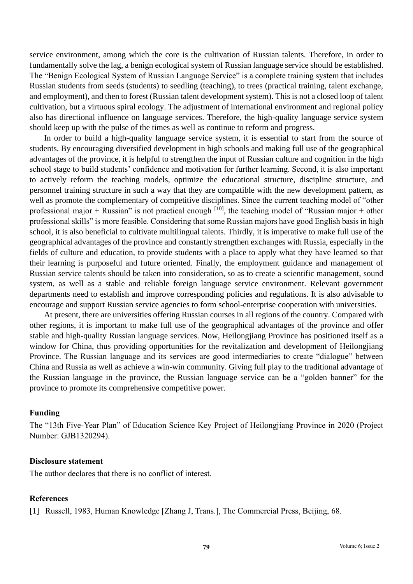service environment, among which the core is the cultivation of Russian talents. Therefore, in order to fundamentally solve the lag, a benign ecological system of Russian language service should be established. The "Benign Ecological System of Russian Language Service" is a complete training system that includes Russian students from seeds (students) to seedling (teaching), to trees (practical training, talent exchange, and employment), and then to forest (Russian talent development system). This is not a closed loop of talent cultivation, but a virtuous spiral ecology. The adjustment of international environment and regional policy also has directional influence on language services. Therefore, the high-quality language service system should keep up with the pulse of the times as well as continue to reform and progress.

In order to build a high-quality language service system, it is essential to start from the source of students. By encouraging diversified development in high schools and making full use of the geographical advantages of the province, it is helpful to strengthen the input of Russian culture and cognition in the high school stage to build students' confidence and motivation for further learning. Second, it is also important to actively reform the teaching models, optimize the educational structure, discipline structure, and personnel training structure in such a way that they are compatible with the new development pattern, as well as promote the complementary of competitive disciplines. Since the current teaching model of "other professional major + Russian" is not practical enough  $[10]$ , the teaching model of "Russian major + other professional skills" is more feasible. Considering that some Russian majors have good English basis in high school, it is also beneficial to cultivate multilingual talents. Thirdly, it is imperative to make full use of the geographical advantages of the province and constantly strengthen exchanges with Russia, especially in the fields of culture and education, to provide students with a place to apply what they have learned so that their learning is purposeful and future oriented. Finally, the employment guidance and management of Russian service talents should be taken into consideration, so as to create a scientific management, sound system, as well as a stable and reliable foreign language service environment. Relevant government departments need to establish and improve corresponding policies and regulations. It is also advisable to encourage and support Russian service agencies to form school-enterprise cooperation with universities.

At present, there are universities offering Russian courses in all regions of the country. Compared with other regions, it is important to make full use of the geographical advantages of the province and offer stable and high-quality Russian language services. Now, Heilongjiang Province has positioned itself as a window for China, thus providing opportunities for the revitalization and development of Heilongjiang Province. The Russian language and its services are good intermediaries to create "dialogue" between China and Russia as well as achieve a win-win community. Giving full play to the traditional advantage of the Russian language in the province, the Russian language service can be a "golden banner" for the province to promote its comprehensive competitive power.

# **Funding**

The "13th Five-Year Plan" of Education Science Key Project of Heilongjiang Province in 2020 (Project Number: GJB1320294).

# **Disclosure statement**

The author declares that there is no conflict of interest.

# **References**

[1] Russell, 1983, Human Knowledge [Zhang J, Trans.], The Commercial Press, Beijing, 68.